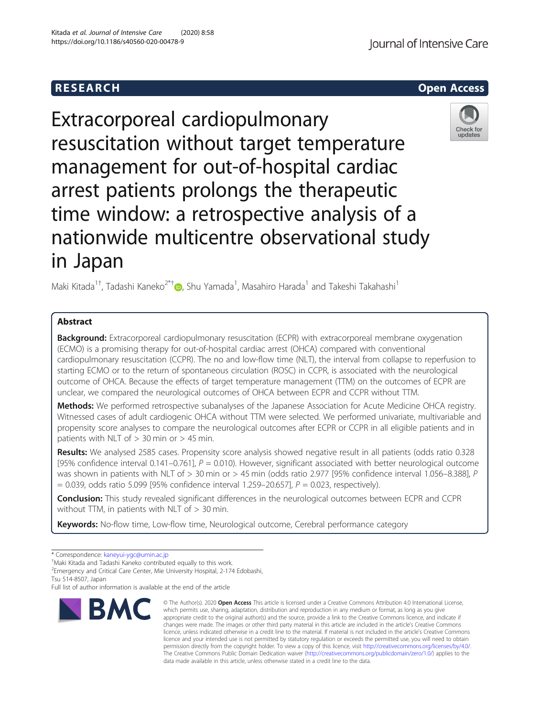# **RESEARCH CHEAR CHEAR CHEAR CHEAR CHEAR CHEAR CHEAR CHEAR CHEAR CHEAR CHEAR CHEAR CHEAR CHEAR CHEAR CHEAR CHEAR**

Extracorporeal cardiopulmonary resuscitation without target temperature management for out-of-hospital cardiac arrest patients prolongs the therapeutic time window: a retrospective analysis of a nationwide multicentre observational study in Japan



Maki Kitada<sup>1[†](http://orcid.org/0000-0002-7171-7231)</sup>, Tadashi Kaneko<sup>2\*†</sup>®, Shu Yamada<sup>1</sup>, Masahiro Harada<sup>1</sup> and Takeshi Takahashi<sup>1</sup>

## Abstract

**Background:** Extracorporeal cardiopulmonary resuscitation (ECPR) with extracorporeal membrane oxygenation (ECMO) is a promising therapy for out-of-hospital cardiac arrest (OHCA) compared with conventional cardiopulmonary resuscitation (CCPR). The no and low-flow time (NLT), the interval from collapse to reperfusion to starting ECMO or to the return of spontaneous circulation (ROSC) in CCPR, is associated with the neurological outcome of OHCA. Because the effects of target temperature management (TTM) on the outcomes of ECPR are unclear, we compared the neurological outcomes of OHCA between ECPR and CCPR without TTM.

Methods: We performed retrospective subanalyses of the Japanese Association for Acute Medicine OHCA registry. Witnessed cases of adult cardiogenic OHCA without TTM were selected. We performed univariate, multivariable and propensity score analyses to compare the neurological outcomes after ECPR or CCPR in all eligible patients and in patients with NLT of  $> 30$  min or  $> 45$  min.

Results: We analysed 2585 cases. Propensity score analysis showed negative result in all patients (odds ratio 0.328 [95% confidence interval 0.141–0.761],  $P = 0.010$ . However, significant associated with better neurological outcome was shown in patients with NLT of > 30 min or > 45 min (odds ratio 2.977 [95% confidence interval 1.056-8.388], P  $= 0.039$ , odds ratio 5.099 [95% confidence interval 1.259–20.657],  $P = 0.023$ , respectively).

**Conclusion:** This study revealed significant differences in the neurological outcomes between ECPR and CCPR without TTM, in patients with NLT of  $> 30$  min.

Keywords: No-flow time, Low-flow time, Neurological outcome, Cerebral performance category

Full list of author information is available at the end of the article



<sup>©</sup> The Author(s), 2020 **Open Access** This article is licensed under a Creative Commons Attribution 4.0 International License, which permits use, sharing, adaptation, distribution and reproduction in any medium or format, as long as you give appropriate credit to the original author(s) and the source, provide a link to the Creative Commons licence, and indicate if changes were made. The images or other third party material in this article are included in the article's Creative Commons licence, unless indicated otherwise in a credit line to the material. If material is not included in the article's Creative Commons licence and your intended use is not permitted by statutory regulation or exceeds the permitted use, you will need to obtain permission directly from the copyright holder. To view a copy of this licence, visit [http://creativecommons.org/licenses/by/4.0/.](http://creativecommons.org/licenses/by/4.0/) The Creative Commons Public Domain Dedication waiver [\(http://creativecommons.org/publicdomain/zero/1.0/](http://creativecommons.org/publicdomain/zero/1.0/)) applies to the data made available in this article, unless otherwise stated in a credit line to the data.

<sup>\*</sup> Correspondence: [kaneyui-ygc@umin.ac.jp](mailto:kaneyui-ygc@umin.ac.jp) †

Maki Kitada and Tadashi Kaneko contributed equally to this work.

<sup>2</sup> Emergency and Critical Care Center, Mie University Hospital, 2-174 Edobashi, Tsu 514-8507, Japan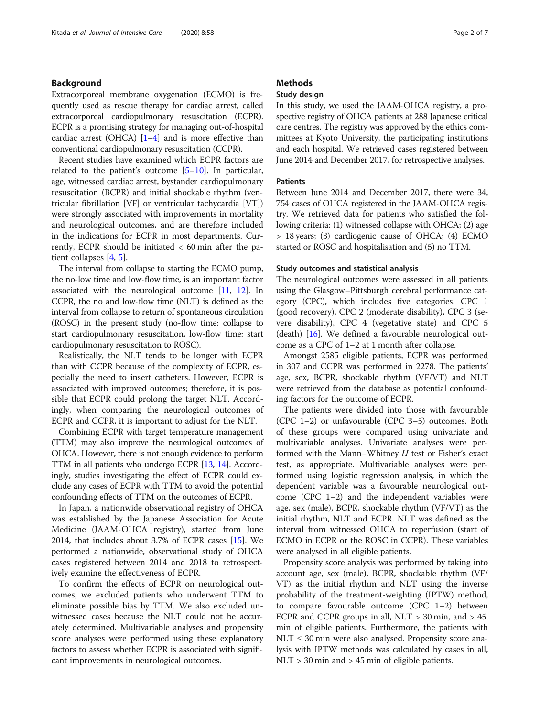## Background

Extracorporeal membrane oxygenation (ECMO) is frequently used as rescue therapy for cardiac arrest, called extracorporeal cardiopulmonary resuscitation (ECPR). ECPR is a promising strategy for managing out-of-hospital cardiac arrest (OHCA)  $[1-4]$  $[1-4]$  $[1-4]$  and is more effective than conventional cardiopulmonary resuscitation (CCPR).

Recent studies have examined which ECPR factors are related to the patient's outcome  $[5-10]$  $[5-10]$  $[5-10]$ . In particular, age, witnessed cardiac arrest, bystander cardiopulmonary resuscitation (BCPR) and initial shockable rhythm (ventricular fibrillation [VF] or ventricular tachycardia [VT]) were strongly associated with improvements in mortality and neurological outcomes, and are therefore included in the indications for ECPR in most departments. Currently, ECPR should be initiated < 60 min after the patient collapses [[4,](#page-6-0) [5\]](#page-6-0).

The interval from collapse to starting the ECMO pump, the no-low time and low-flow time, is an important factor associated with the neurological outcome [[11](#page-6-0), [12\]](#page-6-0). In CCPR, the no and low-flow time (NLT) is defined as the interval from collapse to return of spontaneous circulation (ROSC) in the present study (no-flow time: collapse to start cardiopulmonary resuscitation, low-flow time: start cardiopulmonary resuscitation to ROSC).

Realistically, the NLT tends to be longer with ECPR than with CCPR because of the complexity of ECPR, especially the need to insert catheters. However, ECPR is associated with improved outcomes; therefore, it is possible that ECPR could prolong the target NLT. Accordingly, when comparing the neurological outcomes of ECPR and CCPR, it is important to adjust for the NLT.

Combining ECPR with target temperature management (TTM) may also improve the neurological outcomes of OHCA. However, there is not enough evidence to perform TTM in all patients who undergo ECPR [\[13,](#page-6-0) [14\]](#page-6-0). Accordingly, studies investigating the effect of ECPR could exclude any cases of ECPR with TTM to avoid the potential confounding effects of TTM on the outcomes of ECPR.

In Japan, a nationwide observational registry of OHCA was established by the Japanese Association for Acute Medicine (JAAM-OHCA registry), started from June 2014, that includes about 3.7% of ECPR cases [\[15\]](#page-6-0). We performed a nationwide, observational study of OHCA cases registered between 2014 and 2018 to retrospectively examine the effectiveness of ECPR.

To confirm the effects of ECPR on neurological outcomes, we excluded patients who underwent TTM to eliminate possible bias by TTM. We also excluded unwitnessed cases because the NLT could not be accurately determined. Multivariable analyses and propensity score analyses were performed using these explanatory factors to assess whether ECPR is associated with significant improvements in neurological outcomes.

## **Methods**

## Study design

In this study, we used the JAAM-OHCA registry, a prospective registry of OHCA patients at 288 Japanese critical care centres. The registry was approved by the ethics committees at Kyoto University, the participating institutions and each hospital. We retrieved cases registered between June 2014 and December 2017, for retrospective analyses.

## Patients

Between June 2014 and December 2017, there were 34, 754 cases of OHCA registered in the JAAM-OHCA registry. We retrieved data for patients who satisfied the following criteria: (1) witnessed collapse with OHCA; (2) age > 18 years; (3) cardiogenic cause of OHCA; (4) ECMO started or ROSC and hospitalisation and (5) no TTM.

#### Study outcomes and statistical analysis

The neurological outcomes were assessed in all patients using the Glasgow–Pittsburgh cerebral performance category (CPC), which includes five categories: CPC 1 (good recovery), CPC 2 (moderate disability), CPC 3 (severe disability), CPC 4 (vegetative state) and CPC 5 (death) [[16\]](#page-6-0). We defined a favourable neurological outcome as a CPC of 1–2 at 1 month after collapse.

Amongst 2585 eligible patients, ECPR was performed in 307 and CCPR was performed in 2278. The patients' age, sex, BCPR, shockable rhythm (VF/VT) and NLT were retrieved from the database as potential confounding factors for the outcome of ECPR.

The patients were divided into those with favourable (CPC 1–2) or unfavourable (CPC 3–5) outcomes. Both of these groups were compared using univariate and multivariable analyses. Univariate analyses were performed with the Mann−Whitney U test or Fisher's exact test, as appropriate. Multivariable analyses were performed using logistic regression analysis, in which the dependent variable was a favourable neurological outcome (CPC 1–2) and the independent variables were age, sex (male), BCPR, shockable rhythm (VF/VT) as the initial rhythm, NLT and ECPR. NLT was defined as the interval from witnessed OHCA to reperfusion (start of ECMO in ECPR or the ROSC in CCPR). These variables were analysed in all eligible patients.

Propensity score analysis was performed by taking into account age, sex (male), BCPR, shockable rhythm (VF/ VT) as the initial rhythm and NLT using the inverse probability of the treatment-weighting (IPTW) method, to compare favourable outcome (CPC 1–2) between ECPR and CCPR groups in all,  $NLT > 30$  min, and  $> 45$ min of eligible patients. Furthermore, the patients with  $NLT \leq 30$  min were also analysed. Propensity score analysis with IPTW methods was calculated by cases in all, NLT > 30 min and > 45 min of eligible patients.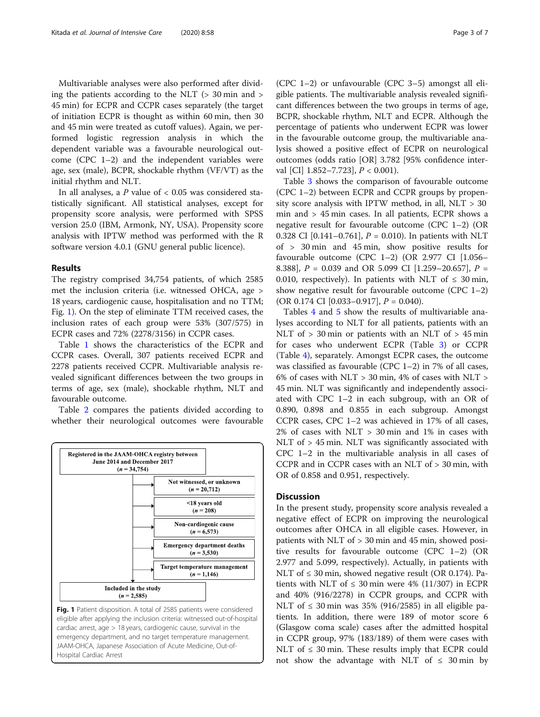Multivariable analyses were also performed after dividing the patients according to the NLT  $(> 30 \text{ min and } > 10 \text{ min})$ 45 min) for ECPR and CCPR cases separately (the target of initiation ECPR is thought as within 60 min, then 30 and 45 min were treated as cutoff values). Again, we performed logistic regression analysis in which the dependent variable was a favourable neurological outcome (CPC 1–2) and the independent variables were age, sex (male), BCPR, shockable rhythm (VF/VT) as the initial rhythm and NLT.

In all analyses, a  $P$  value of  $< 0.05$  was considered statistically significant. All statistical analyses, except for propensity score analysis, were performed with SPSS version 25.0 (IBM, Armonk, NY, USA). Propensity score analysis with IPTW method was performed with the R software version 4.0.1 (GNU general public licence).

#### Results

The registry comprised 34,754 patients, of which 2585 met the inclusion criteria (i.e. witnessed OHCA, age > 18 years, cardiogenic cause, hospitalisation and no TTM; Fig. 1). On the step of eliminate TTM received cases, the inclusion rates of each group were 53% (307/575) in ECPR cases and 72% (2278/3156) in CCPR cases.

Table [1](#page-3-0) shows the characteristics of the ECPR and CCPR cases. Overall, 307 patients received ECPR and 2278 patients received CCPR. Multivariable analysis revealed significant differences between the two groups in terms of age, sex (male), shockable rhythm, NLT and favourable outcome.

Table [2](#page-3-0) compares the patients divided according to whether their neurological outcomes were favourable



(CPC 1–2) or unfavourable (CPC 3–5) amongst all eligible patients. The multivariable analysis revealed significant differences between the two groups in terms of age, BCPR, shockable rhythm, NLT and ECPR. Although the percentage of patients who underwent ECPR was lower in the favourable outcome group, the multivariable analysis showed a positive effect of ECPR on neurological outcomes (odds ratio [OR] 3.782 [95% confidence interval [CI]  $1.852 - 7.723$ ],  $P < 0.001$ ).

Table [3](#page-4-0) shows the comparison of favourable outcome (CPC 1–2) between ECPR and CCPR groups by propensity score analysis with IPTW method, in all, NLT > 30 min and > 45 min cases. In all patients, ECPR shows a negative result for favourable outcome (CPC 1–2) (OR 0.328 CI  $[0.141 - 0.761]$ ,  $P = 0.010$ ). In patients with NLT of > 30 min and 45 min, show positive results for favourable outcome (CPC 1–2) (OR 2.977 CI [1.056– 8.388],  $P = 0.039$  and OR 5.099 CI [1.259–20.657],  $P =$ 0.010, respectively). In patients with NLT of  $\leq 30$  min, show negative result for favourable outcome (CPC 1–2) (OR 0.174 CI  $[0.033 - 0.917]$ ,  $P = 0.040$ ).

Tables [4](#page-4-0) and [5](#page-5-0) show the results of multivariable analyses according to NLT for all patients, patients with an NLT of > 30 min or patients with an NLT of > 45 min for cases who underwent ECPR (Table [3\)](#page-4-0) or CCPR (Table [4](#page-4-0)), separately. Amongst ECPR cases, the outcome was classified as favourable (CPC 1–2) in 7% of all cases, 6% of cases with  $NLT > 30$  min, 4% of cases with  $NLT > 10$ 45 min. NLT was significantly and independently associated with CPC 1–2 in each subgroup, with an OR of 0.890, 0.898 and 0.855 in each subgroup. Amongst CCPR cases, CPC 1–2 was achieved in 17% of all cases, 2% of cases with NLT > 30 min and 1% in cases with NLT of > 45 min. NLT was significantly associated with CPC 1–2 in the multivariable analysis in all cases of CCPR and in CCPR cases with an NLT of > 30 min, with OR of 0.858 and 0.951, respectively.

## **Discussion**

In the present study, propensity score analysis revealed a negative effect of ECPR on improving the neurological outcomes after OHCA in all eligible cases. However, in patients with NLT of > 30 min and 45 min, showed positive results for favourable outcome (CPC 1–2) (OR 2.977 and 5.099, respectively). Actually, in patients with NLT of  $\leq$  30 min, showed negative result (OR 0.174). Patients with NLT of  $\leq$  30 min were 4% (11/307) in ECPR and 40% (916/2278) in CCPR groups, and CCPR with NLT of  $\leq$  30 min was 35% (916/2585) in all eligible patients. In addition, there were 189 of motor score 6 (Glasgow coma scale) cases after the admitted hospital in CCPR group, 97% (183/189) of them were cases with NLT of  $\leq$  30 min. These results imply that ECPR could not show the advantage with NLT of  $\leq 30$  min by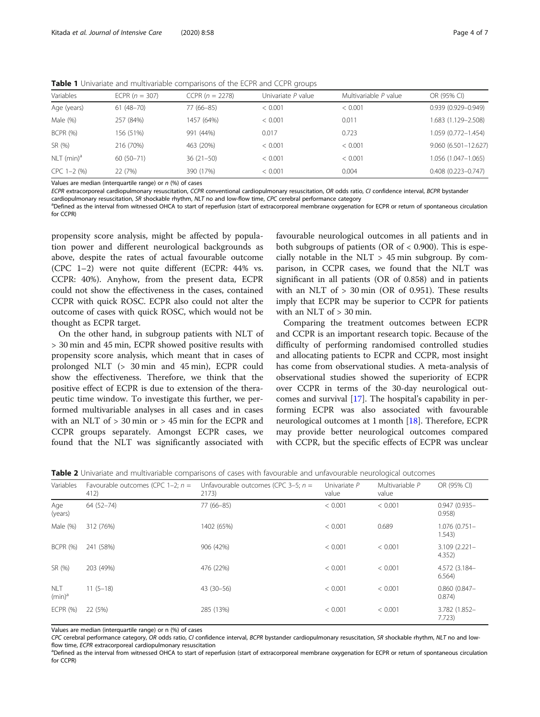<span id="page-3-0"></span>Table 1 Univariate and multivariable comparisons of the ECPR and CCPR groups

| Variables                | ECPR $(n = 307)$ | CCPR $(n = 2278)$ | Univariate P value | Multivariable P value | OR (95% CI)            |
|--------------------------|------------------|-------------------|--------------------|-----------------------|------------------------|
| Age (years)              | $61(48 - 70)$    | 77 (66-85)        | < 0.001            | < 0.001               | $0.939(0.929 - 0.949)$ |
| Male (%)                 | 257 (84%)        | 1457 (64%)        | < 0.001            | 0.011                 | 1.683 (1.129–2.508)    |
| <b>BCPR (%)</b>          | 156 (51%)        | 991 (44%)         | 0.017              | 0.723                 | 1.059 (0.772-1.454)    |
| SR (%)                   | 216 (70%)        | 463 (20%)         | < 0.001            | < 0.001               | 9.060 (6.501-12.627)   |
| $NLT$ (min) <sup>a</sup> | $60(50 - 71)$    | $36(21-50)$       | < 0.001            | < 0.001               | 1.056 (1.047-1.065)    |
| $CPC 1-2$ (%)            | 22 (7%)          | 390 (17%)         | < 0.001            | 0.004                 | $0.408(0.223 - 0.747)$ |

Values are median (interquartile range) or  $n$  (%) of cases

ECPR extracorporeal cardiopulmonary resuscitation, CCPR conventional cardiopulmonary resuscitation, OR odds ratio, CI confidence interval, BCPR bystander

cardiopulmonary resuscitation, SR shockable rhythm, NLT no and low-flow time, CPC cerebral performance category <sup>a</sup>Defined as the interval from witnessed OHCA to start of reperfusion (start of extracorporeal membrane oxygenation for ECPR or return of spontaneous circulation for CCPR)

propensity score analysis, might be affected by population power and different neurological backgrounds as above, despite the rates of actual favourable outcome (CPC 1–2) were not quite different (ECPR: 44% vs. CCPR: 40%). Anyhow, from the present data, ECPR could not show the effectiveness in the cases, contained CCPR with quick ROSC. ECPR also could not alter the outcome of cases with quick ROSC, which would not be thought as ECPR target.

On the other hand, in subgroup patients with NLT of > 30 min and 45 min, ECPR showed positive results with propensity score analysis, which meant that in cases of prolonged NLT (> 30 min and 45 min), ECPR could show the effectiveness. Therefore, we think that the positive effect of ECPR is due to extension of the therapeutic time window. To investigate this further, we performed multivariable analyses in all cases and in cases with an NLT of > 30 min or > 45 min for the ECPR and CCPR groups separately. Amongst ECPR cases, we found that the NLT was significantly associated with

favourable neurological outcomes in all patients and in both subgroups of patients (OR of < 0.900). This is especially notable in the  $NLT > 45$  min subgroup. By comparison, in CCPR cases, we found that the NLT was significant in all patients (OR of 0.858) and in patients with an NLT of  $> 30$  min (OR of 0.951). These results imply that ECPR may be superior to CCPR for patients with an NLT of > 30 min.

Comparing the treatment outcomes between ECPR and CCPR is an important research topic. Because of the difficulty of performing randomised controlled studies and allocating patients to ECPR and CCPR, most insight has come from observational studies. A meta-analysis of observational studies showed the superiority of ECPR over CCPR in terms of the 30-day neurological outcomes and survival [[17\]](#page-6-0). The hospital's capability in performing ECPR was also associated with favourable neurological outcomes at 1 month [\[18](#page-6-0)]. Therefore, ECPR may provide better neurological outcomes compared with CCPR, but the specific effects of ECPR was unclear

Table 2 Univariate and multivariable comparisons of cases with favourable and unfavourable neurological outcomes

| Variables               | Favourable outcomes (CPC 1-2; $n =$<br>412) | Unfavourable outcomes (CPC 3-5; $n =$<br>2173) | Univariate P<br>value | Multivariable P<br>value | OR (95% CI)               |
|-------------------------|---------------------------------------------|------------------------------------------------|-----------------------|--------------------------|---------------------------|
| Age<br>(years)          | $64(52 - 74)$                               | 77 (66-85)                                     | < 0.001               | < 0.001                  | $0.947(0.935 -$<br>0.958  |
| Male (%)                | 312 (76%)                                   | 1402 (65%)                                     | < 0.001               | 0.689                    | $1.076(0.751 -$<br>1.543) |
| <b>BCPR (%)</b>         | 241 (58%)                                   | 906 (42%)                                      | < 0.001               | < 0.001                  | $3.109(2.221 -$<br>4.352) |
| SR (%)                  | 203 (49%)                                   | 476 (22%)                                      | < 0.001               | < 0.001                  | 4.572 (3.184-<br>6.564)   |
| <b>NLT</b><br>$(min)^a$ | $11(5-18)$                                  | $43(30-56)$                                    | < 0.001               | < 0.001                  | $0.860(0.847 -$<br>0.874) |
| <b>ECPR (%)</b>         | 22 (5%)                                     | 285 (13%)                                      | < 0.001               | < 0.001                  | 3.782 (1.852-<br>7.723)   |

Values are median (interquartile range) or n (%) of cases

CPC cerebral performance category, OR odds ratio, CI confidence interval, BCPR bystander cardiopulmonary resuscitation, SR shockable rhythm, NLT no and lowflow time, ECPR extracorporeal cardiopulmonary resuscitation

<sup>a</sup>Defined as the interval from witnessed OHCA to start of reperfusion (start of extracorporeal membrane oxygenation for ECPR or return of spontaneous circulation for CCPR)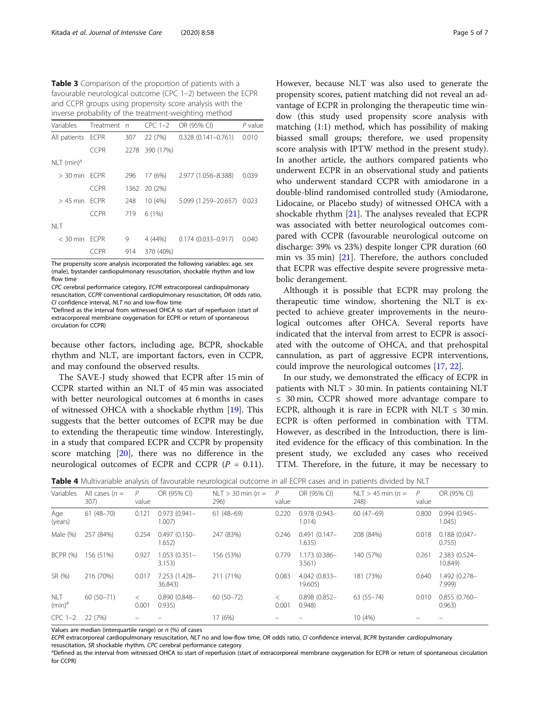<span id="page-4-0"></span>Table 3 Comparison of the proportion of patients with a favourable neurological outcome (CPC 1–2) between the ECPR and CCPR groups using propensity score analysis with the inverse probability of the treatment-weighting method

| Variables                | Treatment n |     | $CPC$ 1-2      | OR (95% CI)                | P value |
|--------------------------|-------------|-----|----------------|----------------------------|---------|
| All patients ECPR        |             | 307 | 22 (7%)        | $0.328(0.141 - 0.761)$     | 0.010   |
|                          | <b>CCPR</b> |     | 2278 390 (17%) |                            |         |
| $NLT$ (min) <sup>a</sup> |             |     |                |                            |         |
| $>$ 30 min FCPR          |             | 296 | 17 (6%)        | 2.977 (1.056-8.388)        | 0.039   |
|                          | <b>CCPR</b> |     | 1362 20 (2%)   |                            |         |
| $>$ 45 min FCPR          |             | 248 | 10(4%)         | 5.099 (1.259-20.657) 0.023 |         |
|                          | <b>CCPR</b> | 719 | 6(1%)          |                            |         |
| NI T                     |             |     |                |                            |         |
| < 30 min ECPR            |             | 9   | 4 (44%)        | $0.174(0.033 - 0.917)$     | 0.040   |
|                          | CCPR        | 914 | 370 (40%)      |                            |         |

The propensity score analysis incorporated the following variables: age, sex (male), bystander cardiopulmonary resuscitation, shockable rhythm and low flow time

CPC cerebral performance category, ECPR extracorporeal cardiopulmonary resuscitation, CCPR conventional cardiopulmonary resuscitation, OR odds ratio,  $C$ I confidence interval,  $NLT$  no and low-flow time

<sup>a</sup>Defined as the interval from witnessed OHCA to start of reperfusion (start of extracorporeal membrane oxygenation for ECPR or return of spontaneous circulation for CCPR)

because other factors, including age, BCPR, shockable rhythm and NLT, are important factors, even in CCPR, and may confound the observed results.

The SAVE-J study showed that ECPR after 15 min of CCPR started within an NLT of 45 min was associated with better neurological outcomes at 6 months in cases of witnessed OHCA with a shockable rhythm [[19](#page-6-0)]. This suggests that the better outcomes of ECPR may be due to extending the therapeutic time window. Interestingly, in a study that compared ECPR and CCPR by propensity score matching [\[20](#page-6-0)], there was no difference in the neurological outcomes of ECPR and CCPR  $(P = 0.11)$ .

However, because NLT was also used to generate the propensity scores, patient matching did not reveal an advantage of ECPR in prolonging the therapeutic time window (this study used propensity score analysis with matching (1:1) method, which has possibility of making biassed small groups; therefore, we used propensity score analysis with IPTW method in the present study). In another article, the authors compared patients who underwent ECPR in an observational study and patients who underwent standard CCPR with amiodarone in a double-blind randomised controlled study (Amiodarone, Lidocaine, or Placebo study) of witnessed OHCA with a shockable rhythm [\[21](#page-6-0)]. The analyses revealed that ECPR was associated with better neurological outcomes compared with CCPR (favourable neurological outcome on discharge: 39% vs 23%) despite longer CPR duration (60 min vs 35 min) [\[21\]](#page-6-0). Therefore, the authors concluded that ECPR was effective despite severe progressive metabolic derangement.

Although it is possible that ECPR may prolong the therapeutic time window, shortening the NLT is expected to achieve greater improvements in the neurological outcomes after OHCA. Several reports have indicated that the interval from arrest to ECPR is associated with the outcome of OHCA, and that prehospital cannulation, as part of aggressive ECPR interventions, could improve the neurological outcomes [\[17](#page-6-0), [22](#page-6-0)].

In our study, we demonstrated the efficacy of ECPR in patients with NLT > 30 min. In patients containing NLT ≤ 30 min, CCPR showed more advantage compare to ECPR, although it is rare in ECPR with NLT  $\leq$  30 min. ECPR is often performed in combination with TTM. However, as described in the Introduction, there is limited evidence for the efficacy of this combination. In the present study, we excluded any cases who received TTM. Therefore, in the future, it may be necessary to

| Variables               | All cases $(n =$<br>307) | P<br>value       | OR (95% CI)               | NLT $>$ 30 min (n =<br>296) | P<br>value | OR (95% CI)               | NLT $>$ 45 min (n =<br>248) | P<br>value | OR (95% CI)               |
|-------------------------|--------------------------|------------------|---------------------------|-----------------------------|------------|---------------------------|-----------------------------|------------|---------------------------|
| Age<br>(years)          | $61(48 - 70)$            | 0.121            | $0.973(0.941 -$<br>1.007) | $61(48-69)$                 | 0.220      | $0.978(0.943 -$<br>1.014) | $60(47-69)$                 | 0.800      | $0.994(0.945 -$<br>1.045) |
| Male (%)                | 257 (84%)                | 0.254            | $0.497(0.150 -$<br>1.652) | 247 (83%)                   | 0.246      | $0.491(0.147 -$<br>1.635) | 208 (84%)                   | 0.018      | $0.188(0.047 -$<br>0.755) |
| <b>BCPR (%)</b>         | 156 (51%)                | 0.927            | $1.053(0.351 -$<br>3.153) | 156 (53%)                   | 0.779      | 1.173 (0.386-<br>3.561)   | 140 (57%)                   | 0.261      | 2.383 (0.524-<br>10.849)  |
| SR (%)                  | 216 (70%)                | 0.017            | 7.253 (1.428-<br>36.843)  | 211 (71%)                   | 0.083      | 4.042 (0.833-<br>19.605)  | 181 (73%)                   | 0.640      | 1.492 (0.278-<br>7.999)   |
| <b>NLT</b><br>$(min)^a$ | 60 (50-71)               | $\,<\,$<br>0.001 | $0.890(0.848 -$<br>0.935) | $60(50-72)$                 | 0.001      | $0.898(0.852 -$<br>0.948  | $63(55 - 74)$               | 0.010      | $0.855(0.760 -$<br>0.963) |
| $CPC$ 1-2               | 22 (7%)                  |                  |                           | 17 (6%)                     |            |                           | 10 (4%)                     |            |                           |

Table 4 Multivariable analysis of favourable neurological outcome in all ECPR cases and in patients divided by NLT

Values are median (interquartile range) or  $n$  (%) of cases

ECPR extracorporeal cardiopulmonary resuscitation, NLT no and low-flow time, OR odds ratio, CI confidence interval, BCPR bystander cardiopulmonary resuscitation, SR shockable rhythm, CPC cerebral performance category

<sup>a</sup>Defined as the interval from witnessed OHCA to start of reperfusion (start of extracorporeal membrane oxygenation for ECPR or return of spontaneous circulation for CCPR)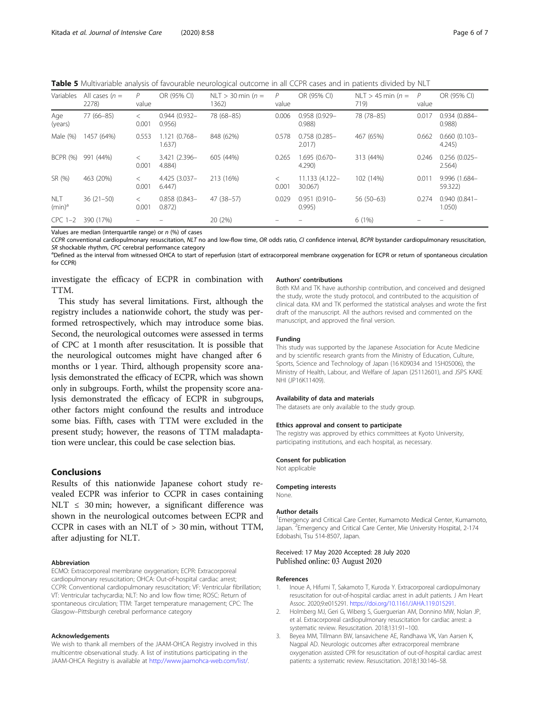<span id="page-5-0"></span>Table 5 Multivariable analysis of favourable neurological outcome in all CCPR cases and in patients divided by NLT

| Variables               | All cases $(n =$<br>2278) | P<br>value       | OR (95% CI)               | NLT $>$ 30 min (n =<br>1362) | P<br>value | OR (95% CI)               | NLT > 45 min $(n =$<br>719) | P<br>value | OR (95% CI)               |
|-------------------------|---------------------------|------------------|---------------------------|------------------------------|------------|---------------------------|-----------------------------|------------|---------------------------|
| Age<br>(years)          | 77 (66-85)                | $\,<\,$<br>0.001 | $0.944(0.932 -$<br>0.956  | 78 (68-85)                   | 0.006      | 0.958 (0.929-<br>0.988    | 78 (78-85)                  | 0.017      | 0.934 (0.884-<br>0.988    |
| Male (%)                | 1457 (64%)                | 0.553            | 1.121 (0.768-<br>1.637    | 848 (62%)                    | 0.578      | $0.758(0.285 -$<br>2.017  | 467 (65%)                   | 0.662      | $0.660(0.103 -$<br>4.245  |
| <b>BCPR (%)</b>         | 991 (44%)                 | 0.001            | 3.421 (2.396-<br>4.884)   | 605 (44%)                    | 0.265      | 1.695 (0.670-<br>4.290)   | 313 (44%)                   | 0.246      | $0.256(0.025 -$<br>2.564) |
| SR (%)                  | 463 (20%)                 | $\,<\,$<br>0.001 | 4.425 (3.037-<br>6,447    | 213 (16%)                    | 0.001      | 11.133 (4.122-<br>30.067) | 102 (14%)                   | 0.011      | 9.996 (1.684-<br>59.322)  |
| <b>NLT</b><br>$(min)^a$ | $36(21-50)$               | $\,<\,$<br>0.001 | $0.858(0.843 -$<br>0.872) | 47 (38-57)                   | 0.029      | $0.951(0.910 -$<br>0.995) | $56(50-63)$                 | 0.274      | $0.940(0.841 -$<br>1.050  |
| $CPC$ 1-2               | 390 (17%)                 |                  |                           | 20 (2%)                      |            |                           | 6(1%)                       |            |                           |

Values are median (interquartile range) or  $n$  (%) of cases

CCPR conventional cardiopulmonary resuscitation, NLT no and low-flow time, OR odds ratio, CI confidence interval, BCPR bystander cardiopulmonary resuscitation, SR shockable rhythm, CPC cerebral performance category

<sup>a</sup>Defined as the interval from witnessed OHCA to start of reperfusion (start of extracorporeal membrane oxygenation for ECPR or return of spontaneous circulation for CCPR)

investigate the efficacy of ECPR in combination with TTM.

This study has several limitations. First, although the registry includes a nationwide cohort, the study was performed retrospectively, which may introduce some bias. Second, the neurological outcomes were assessed in terms of CPC at 1 month after resuscitation. It is possible that the neurological outcomes might have changed after 6 months or 1 year. Third, although propensity score analysis demonstrated the efficacy of ECPR, which was shown only in subgroups. Forth, whilst the propensity score analysis demonstrated the efficacy of ECPR in subgroups, other factors might confound the results and introduce some bias. Fifth, cases with TTM were excluded in the present study; however, the reasons of TTM maladaptation were unclear, this could be case selection bias.

## Conclusions

Results of this nationwide Japanese cohort study revealed ECPR was inferior to CCPR in cases containing NLT  $\leq$  30 min; however, a significant difference was shown in the neurological outcomes between ECPR and CCPR in cases with an NLT of > 30 min, without TTM, after adjusting for NLT.

#### Abbreviation

ECMO: Extracorporeal membrane oxygenation; ECPR: Extracorporeal cardiopulmonary resuscitation; OHCA: Out-of-hospital cardiac arrest; CCPR: Conventional cardiopulmonary resuscitation; VF: Ventricular fibrillation; VT: Ventricular tachycardia; NLT: No and low flow time; ROSC: Return of spontaneous circulation; TTM: Target temperature management; CPC: The Glasgow–Pittsburgh cerebral performance category

#### Acknowledgements

We wish to thank all members of the JAAM-OHCA Registry involved in this multicentre observational study. A list of institutions participating in the JAAM-OHCA Registry is available at <http://www.jaamohca-web.com/list/>.

#### Authors' contributions

Both KM and TK have authorship contribution, and conceived and designed the study, wrote the study protocol, and contributed to the acquisition of clinical data. KM and TK performed the statistical analyses and wrote the first draft of the manuscript. All the authors revised and commented on the manuscript, and approved the final version.

#### Funding

This study was supported by the Japanese Association for Acute Medicine and by scientific research grants from the Ministry of Education, Culture, Sports, Science and Technology of Japan (16 K09034 and 15H05006), the Ministry of Health, Labour, and Welfare of Japan (25112601), and JSPS KAKE NHI (JP16K11409).

#### Availability of data and materials

The datasets are only available to the study group.

#### Ethics approval and consent to participate

The registry was approved by ethics committees at Kyoto University, participating institutions, and each hospital, as necessary.

#### Consent for publication

Not applicable

#### Competing interests

None.

#### Author details

<sup>1</sup> Emergency and Critical Care Center, Kumamoto Medical Center, Kumamoto Japan. <sup>2</sup>Emergency and Critical Care Center, Mie University Hospital, 2-174 Edobashi, Tsu 514-8507, Japan.

### Received: 17 May 2020 Accepted: 28 July 2020 Published online: 03 August 2020

#### References

- 1. Inoue A, Hifumi T, Sakamoto T, Kuroda Y. Extracorporeal cardiopulmonary resuscitation for out-of-hospital cardiac arrest in adult patients. J Am Heart Assoc. 2020;9:e015291. <https://doi.org/10.1161/JAHA.119.015291>.
- 2. Holmberg MJ, Geri G, Wiberg S, Guerguerian AM, Donnino MW, Nolan JP, et al. Extracorporeal cardiopulmonary resuscitation for cardiac arrest: a systematic review. Resuscitation. 2018;131:91–100.
- 3. Beyea MM, Tillmann BW, Iansavichene AE, Randhawa VK, Van Aarsen K, Nagpal AD. Neurologic outcomes after extracorporeal membrane oxygenation assisted CPR for resuscitation of out-of-hospital cardiac arrest patients: a systematic review. Resuscitation. 2018;130:146–58.